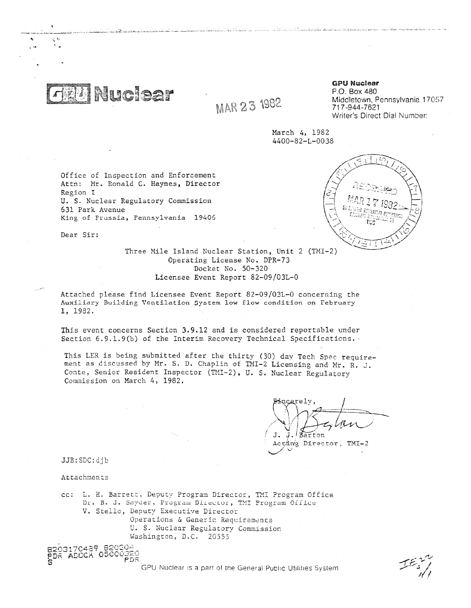Nuclear

MAR 23 1982

**GPU Nuclear** P.O. Box 480 Middletown, Pennsylvania 17057 717-944-7621

Writer's Direct Dial Number:

March 4, 1982 4400-82-L-0038

ىقلىقىدىغاھلىقىدىن ئارىلىق ئوقان ئارىلىدىكى ئارىلىكى ئارىلىكى ئىل ئارىلىدىن ئارىلىدىن ئارىلىدىن ئىل ئىل

Office of Inspection and Enforcement Attn: Mr. Ronald C. Haynes, Director Region I U. S. Nuclear Regulatory Commission 631 Park Avenue King of Frussia, Pennsylvania 19406



Three Mile Island Nuclear Station, Unit 2 (TMI-2) Operating License No. DPR-73 Docket No. 50-320 Licensee Event Report 82-09/03L-0

Attached please find Licensee Event Report 82-09/03L-0 concerning the Auxiliary Building Ventilation System low flow condition on February 1, 1982.

This event concerns Section 3.9.12 and is considered reportable under Section 6.9.1.9(b) of the Interim Recovery Technical Specifications.

This LER is being submitted after the thirty (30) day Tech Spec requirement as discussed by Mr. S. D. Chaplin of mi-2 Licensing and Mr. R. *J.* Conte, Senior Resident Inspector (TMI-2), U. S. Nuclear Regulatory Commission on March 4, 1982.

 $J<sub>1</sub>$ Rarton

Actar Director, TMI-2

JJB:SDC:djb

Dear Sir:

Attachments

03170489.8<br>S<sup>2</sup>1566X.05 ADCCK

FDr;

cc: L. H. Barrett, Deputy Program Director, TMI Program Office Dr. B. J. Snyder, Program Director, TMI Program Office V. Stella, Deputy Executive Director Operations & Generic Requirements U. S. Nuclear Regulatory Commission Washington, D.C. 20555

GPU Nuclear is a part of the General Public Utilities System

r (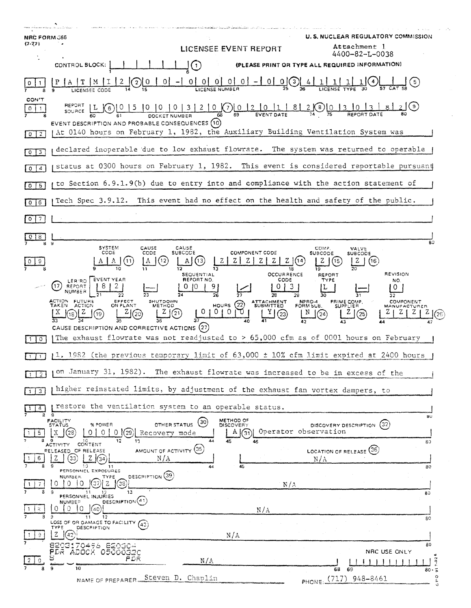| <b>NRC FORM 366</b>                                                     | <b>U.S. NUCLEAR REGULATORY COMMISSION</b>                                                                                                                                                                                                                                                                                                                                               |
|-------------------------------------------------------------------------|-----------------------------------------------------------------------------------------------------------------------------------------------------------------------------------------------------------------------------------------------------------------------------------------------------------------------------------------------------------------------------------------|
| $(7 - 77)$                                                              | Attachment 1<br>LICENSEE EVENT REPORT<br>4400-82-L-0038                                                                                                                                                                                                                                                                                                                                 |
|                                                                         | CONTROL BLOCK:<br>$\mathbf{J}(\mathbf{1})$<br>(PLEASE PRINT OR TYPE ALL REQUIRED INFORMATION)                                                                                                                                                                                                                                                                                           |
|                                                                         | $0 \mid 0 \mid 0 \mid 0 \mid - \mid 0 \mid 0$                                                                                                                                                                                                                                                                                                                                           |
| <b>CON'T</b><br>$\mathbf{1}$<br>0 <sub>1</sub><br>$\sqrt{0}$ $\sqrt{2}$ | $\underbrace{[0 \ 15 \ 10 \ 10 \ 10 \ 13 \ 12 \ 10}_{\text{DOCKET NUMBER}} \underbrace{[0 \ 12 \ 10 \ 11 \ 18 \ 2 \ 10}_{\text{69}} \underbrace{[0 \ 13}_{\text{EVENT DATE}}]$<br>( ၁ )<br>$SouRCE$ $L(6)$<br>EVENT DESCRIPTION AND PROBABLE CONSEQUENCES (10)<br>At 0140 hours on February 1, 1982, the Auxiliary Building Ventilation System was                                      |
|                                                                         | declared inoperable due to low exhaust flowrate. The system was returned to operable                                                                                                                                                                                                                                                                                                    |
| $\boxed{0}$ $\boxed{3}$                                                 | status at 0300 hours on February 1, 1982. This event is considered reportable pursuant                                                                                                                                                                                                                                                                                                  |
| $\overline{a}$<br>$\circ$                                               | to Section 6.9.1.9(b) due to entry into and compliance with the action statement of                                                                                                                                                                                                                                                                                                     |
| $0$ 5                                                                   |                                                                                                                                                                                                                                                                                                                                                                                         |
| $0$ $6$                                                                 | Tech Spec 3.9.12. This event had no effect on the health and safety of the public.                                                                                                                                                                                                                                                                                                      |
| 7<br>$\circ$                                                            |                                                                                                                                                                                                                                                                                                                                                                                         |
| 8<br>ង ម                                                                | 80<br><b>SYSTEM</b><br>CAUSE<br>CAUSE<br>COMP.<br>VALVE                                                                                                                                                                                                                                                                                                                                 |
| 9                                                                       | CODE<br><b>SUBCODE</b><br><b>COMPONENT CODE</b><br>CODE<br><b>SUBCODE</b><br><b>SUBCODE</b><br>(16)<br>18<br>19                                                                                                                                                                                                                                                                         |
|                                                                         | <b>REVISION</b><br><b>OCCURRENCE</b><br>SEQUENTIAL<br><b>REPORT</b><br>EVENT YEAR<br>REPORT NO.<br>CODE<br><b>TYPE</b><br>NO.<br>LER/RO<br>REPORT<br>NUMBER<br>ACTION FUTURE<br>EFFECT<br>SHUTDOWN<br>NPRD-4<br>FORM SUB.<br>PRIME COMP.<br>SUPPLIER<br><b>COMPONENT</b><br>ATTACHMENT<br>SUBMITTED<br>HOURS $(22)$<br>TAKEN ACTION<br>ON PLANT<br><b>METHOD</b><br><b>MANUFACTURER</b> |
|                                                                         | 01010<br>(21<br>(25)<br>(20)<br>18)<br>[24]<br>$^{(23)}$<br>CAUSE DESCRIPTION AND CORRECTIVE ACTIONS (27)                                                                                                                                                                                                                                                                               |
| $\circ$                                                                 | The exhaust flowrate was not readjusted to $> 65,000$ cfm as of 0001 hours on February                                                                                                                                                                                                                                                                                                  |
|                                                                         | $11.1982$ (the previous temporary limit of $63,000\pm10\%$ cfm limit expired at 2400 hours                                                                                                                                                                                                                                                                                              |
| $\overline{2}$                                                          | on January 31, 1982). The exhaust flowrate was increased to be in excess of the                                                                                                                                                                                                                                                                                                         |
| $\overline{3}$<br>$\mathbf{1}$                                          | higher reinstated limits, by adjustment of the exhaust fan vortex dampers, to                                                                                                                                                                                                                                                                                                           |
| 4<br>8                                                                  | restore the ventilation system to an operable status.<br>$\mathbf{g}$<br>5U                                                                                                                                                                                                                                                                                                             |
| 5.<br>a                                                                 | METHOD OF<br>FACILITY<br>STATUS<br>(30)<br>DISCOVERY DESCRIPTION (32)<br>OTHER STATUS<br>% POWER<br><b>DISCOVERY</b><br>Operator observation<br>'29<br>A(31)<br>0<br>0<br>Recovery mode<br>12<br>13<br>44<br>45<br>46<br>60                                                                                                                                                             |
| 6                                                                       | CONTENT<br><b>ACTIVITY</b><br>AMOUNT OF ACTIVITY (35)<br>LOCATION OF RELEASE (36)<br><b>PELEASED OF RELEASE</b><br>33<br>N/A<br>$\rm N/\rm A$<br>134<br>10<br>45<br>11<br>80<br>44                                                                                                                                                                                                      |
| -7                                                                      | PERSONNEL EXPOSURES<br>DESCRIPTION (39)<br><b>NUMBER</b><br>TYPE<br>(၁၁<br>O<br>$\Omega$<br>O<br>N/A<br>13 <sub>1</sub><br>-11<br>80                                                                                                                                                                                                                                                    |
| æ.                                                                      | PERSONNEL INJURIES<br>Descairron(41)<br><b>NUMBER</b><br>$\Omega$<br>0<br>10<br>N/A<br>12<br>11                                                                                                                                                                                                                                                                                         |
| -9.                                                                     | 80<br>LOSS OF OR DAMAGE TO FACILITY (43)<br><b>DESCRIPTION</b><br>TYPE<br>Ζ<br>(42<br>N/A                                                                                                                                                                                                                                                                                               |
|                                                                         | 80<br>8203170496 820304<br>PDR ADOCK 05000320<br>NRC USE ONLY<br>FDR<br>N/A                                                                                                                                                                                                                                                                                                             |
|                                                                         | 10<br>9<br>68<br>-69<br>$80 - 5$<br>$\circ$<br>Steven D. Chaplin<br>PHONE: (717) 948-8461<br>NAME OF PREPARER<br>a.                                                                                                                                                                                                                                                                     |

 $\sim$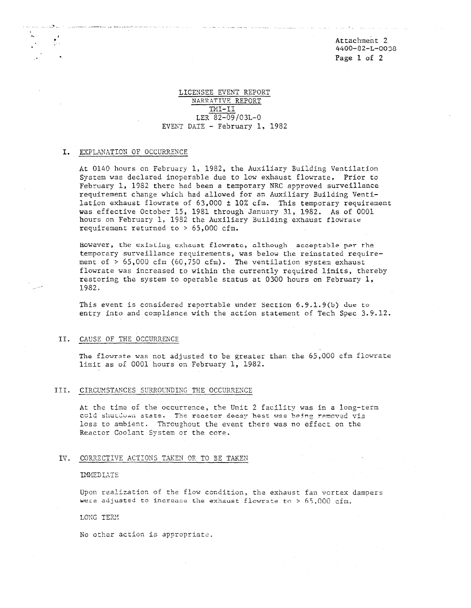Attachment 2 4400-82-L-0038 Page 1 of 2

# LICENSEE EVENT REPORT NARRATTVE REPORT THI-II LER 82-09/03L-0 EVENT DATE - February 1, 1982

أيبيها والربابات بالأربعة يعدها مقفا فارتجازت معاجلات للحا

## I. EXPLANATION OF OCCURRENCE

ξÜ.

At 0140 hours on February 1, 1982, the Auxiliary Building Ventilation System was declared inoperable due to low exhaust flowrate. Prior to February 1, 1982 there had been a temporary NRC approved surveillance requirement change which had allowed for an Auxiliary Building Ventilation exhaust flowrate of  $63,000 \pm 10\%$  cfm. This temporary requirement was effective October 15, 1981 through January 31, 1982. As of 0001 hours on February 1, 1982 the Auxiliary Building exhaust flowrate requirement returned to > 65,000 cfm.

However, the existingexhaust flowratc, although acceptable per the temporary surveillance requirements, was below the reinstated requirement of > 65,000 cfm (60,750 cfm). The ventilation system exhaust flowrate was increased to within the currently required limits, thereby restoring the system to operable status at 0300 hours on February 1, 1982.

This event is considered reportable under Section 6.9.1.9(b) due to entry into and compliance with the action statement of Tech Spec 3.9.12.

# II. CAUSE OF THE OCCURRENCE

The flowrate was not adjusted to be greater than the 65,000 cfm flowrate limit as of 0001 hours on February 1, 1982.

## III. CIRCUMSTANCES SURROUNDING THE OCCURRENCE

At the time of the occurrence, the Unit 2 facility was in a long-term cold shutdown state. The reactor decay heat was being removed via CAUSE OF THE OCCURRENCE<br>The flowrate was not adjusted to be greater than the 65,000 cfm fl<br>1imit as of 0001 hours on February 1, 1982.<br>CIRCUMSTANCES SURROUNDING THE OCCURRENCE<br>At the time of the occurrence, the Unit 2 faci loss to ambient. Throughout the event there was no effect on the Reactor Coolant System or the core.

#### IV. CORRECTIVE ACTIONS TAKEN OR TO BE TAKEN

#### IMMEDIATE

Upon realization of the flow condition, the exhaust fan vortex dampers were adjusted to increase the exhaust flowrate to  $> 65,000$  cfm.

#### LONG TERR

No other action is appropriate.